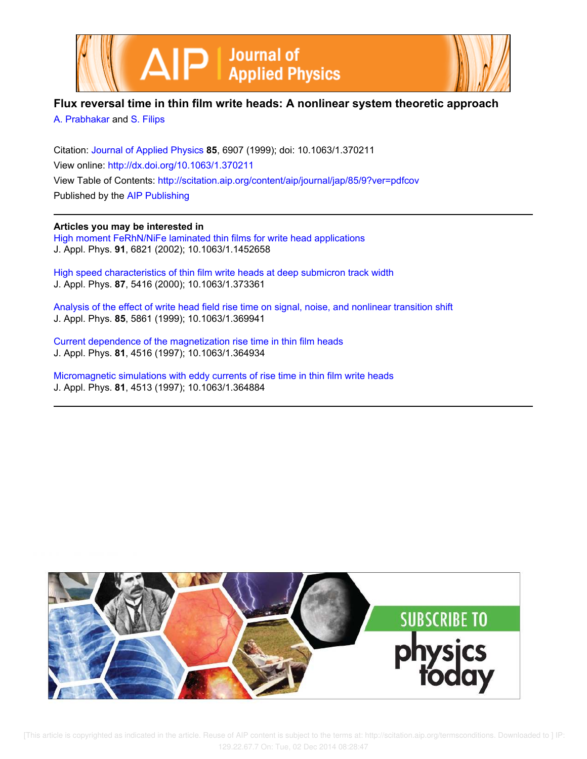



## **Flux reversal time in thin film write heads: A nonlinear system theoretic approach**

A. Prabhakar and S. Filips

Citation: Journal of Applied Physics **85**, 6907 (1999); doi: 10.1063/1.370211 View online: http://dx.doi.org/10.1063/1.370211 View Table of Contents: http://scitation.aip.org/content/aip/journal/jap/85/9?ver=pdfcov Published by the AIP Publishing

### **Articles you may be interested in**

High moment FeRhN/NiFe laminated thin films for write head applications J. Appl. Phys. **91**, 6821 (2002); 10.1063/1.1452658

High speed characteristics of thin film write heads at deep submicron track width J. Appl. Phys. **87**, 5416 (2000); 10.1063/1.373361

Analysis of the effect of write head field rise time on signal, noise, and nonlinear transition shift J. Appl. Phys. **85**, 5861 (1999); 10.1063/1.369941

Current dependence of the magnetization rise time in thin film heads J. Appl. Phys. **81**, 4516 (1997); 10.1063/1.364934

Micromagnetic simulations with eddy currents of rise time in thin film write heads J. Appl. Phys. **81**, 4513 (1997); 10.1063/1.364884

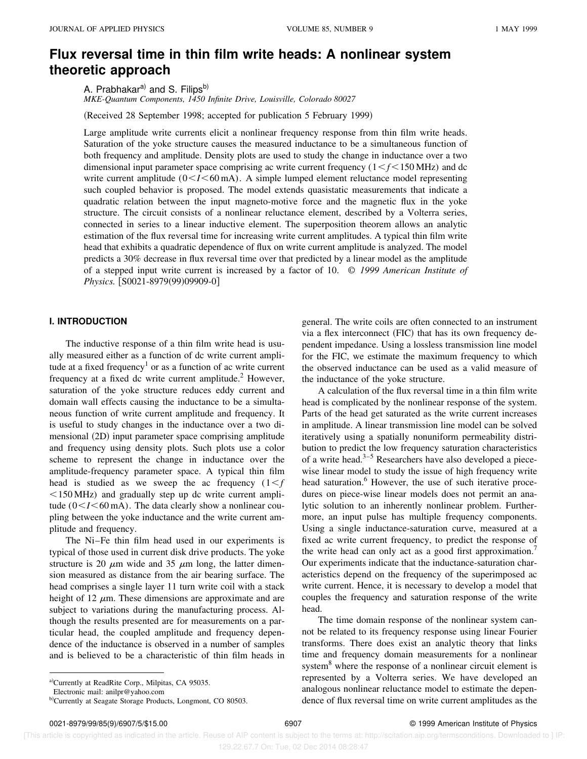# **Flux reversal time in thin film write heads: A nonlinear system theoretic approach**

A. Prabhakar<sup>a)</sup> and S. Filips<sup>b)</sup> *MKE-Quantum Components, 1450 Infinite Drive, Louisville, Colorado 80027*

(Received 28 September 1998; accepted for publication 5 February 1999)

Large amplitude write currents elicit a nonlinear frequency response from thin film write heads. Saturation of the yoke structure causes the measured inductance to be a simultaneous function of both frequency and amplitude. Density plots are used to study the change in inductance over a two dimensional input parameter space comprising ac write current frequency  $(1 \leq f \leq 150 \text{ MHz})$  and dc write current amplitude  $(0 < I < 60$  mA). A simple lumped element reluctance model representing such coupled behavior is proposed. The model extends quasistatic measurements that indicate a quadratic relation between the input magneto-motive force and the magnetic flux in the yoke structure. The circuit consists of a nonlinear reluctance element, described by a Volterra series, connected in series to a linear inductive element. The superposition theorem allows an analytic estimation of the flux reversal time for increasing write current amplitudes. A typical thin film write head that exhibits a quadratic dependence of flux on write current amplitude is analyzed. The model predicts a 30% decrease in flux reversal time over that predicted by a linear model as the amplitude of a stepped input write current is increased by a factor of 10. © *1999 American Institute of Physics.* [S0021-8979(99)09909-0]

#### **I. INTRODUCTION**

The inductive response of a thin film write head is usually measured either as a function of dc write current amplitude at a fixed frequency<sup>1</sup> or as a function of ac write current frequency at a fixed dc write current amplitude. $2$  However, saturation of the yoke structure reduces eddy current and domain wall effects causing the inductance to be a simultaneous function of write current amplitude and frequency. It is useful to study changes in the inductance over a two dimensional (2D) input parameter space comprising amplitude and frequency using density plots. Such plots use a color scheme to represent the change in inductance over the amplitude-frequency parameter space. A typical thin film head is studied as we sweep the ac frequency  $(1 \leq f)$  $<$  150 MHz) and gradually step up dc write current amplitude  $(0 < I < 60$  mA). The data clearly show a nonlinear coupling between the yoke inductance and the write current amplitude and frequency.

The Ni–Fe thin film head used in our experiments is typical of those used in current disk drive products. The yoke structure is 20  $\mu$ m wide and 35  $\mu$ m long, the latter dimension measured as distance from the air bearing surface. The head comprises a single layer 11 turn write coil with a stack height of 12  $\mu$ m. These dimensions are approximate and are subject to variations during the manufacturing process. Although the results presented are for measurements on a particular head, the coupled amplitude and frequency dependence of the inductance is observed in a number of samples and is believed to be a characteristic of thin film heads in general. The write coils are often connected to an instrument via a flex interconnect  $(FIC)$  that has its own frequency dependent impedance. Using a lossless transmission line model for the FIC, we estimate the maximum frequency to which the observed inductance can be used as a valid measure of the inductance of the yoke structure.

A calculation of the flux reversal time in a thin film write head is complicated by the nonlinear response of the system. Parts of the head get saturated as the write current increases in amplitude. A linear transmission line model can be solved iteratively using a spatially nonuniform permeability distribution to predict the low frequency saturation characteristics of a write head.<sup>3-5</sup> Researchers have also developed a piecewise linear model to study the issue of high frequency write head saturation.<sup>6</sup> However, the use of such iterative procedures on piece-wise linear models does not permit an analytic solution to an inherently nonlinear problem. Furthermore, an input pulse has multiple frequency components. Using a single inductance-saturation curve, measured at a fixed ac write current frequency, to predict the response of the write head can only act as a good first approximation.<sup>7</sup> Our experiments indicate that the inductance-saturation characteristics depend on the frequency of the superimposed ac write current. Hence, it is necessary to develop a model that couples the frequency and saturation response of the write head.

The time domain response of the nonlinear system cannot be related to its frequency response using linear Fourier transforms. There does exist an analytic theory that links time and frequency domain measurements for a nonlinear system<sup>8</sup> where the response of a nonlinear circuit element is represented by a Volterra series. We have developed an analogous nonlinear reluctance model to estimate the dependence of flux reversal time on write current amplitudes as the

 [This article is copyrighted as indicated in the article. Reuse of AIP content is subject to the terms at: http://scitation.aip.org/termsconditions. Downloaded to ] IP: 129.22.67.7 On: Tue, 02 Dec 2014 08:28:47

a)Currently at ReadRite Corp., Milpitas, CA 95035.

Electronic mail: anilpr@yahoo.com

b)Currently at Seagate Storage Products, Longmont, CO 80503.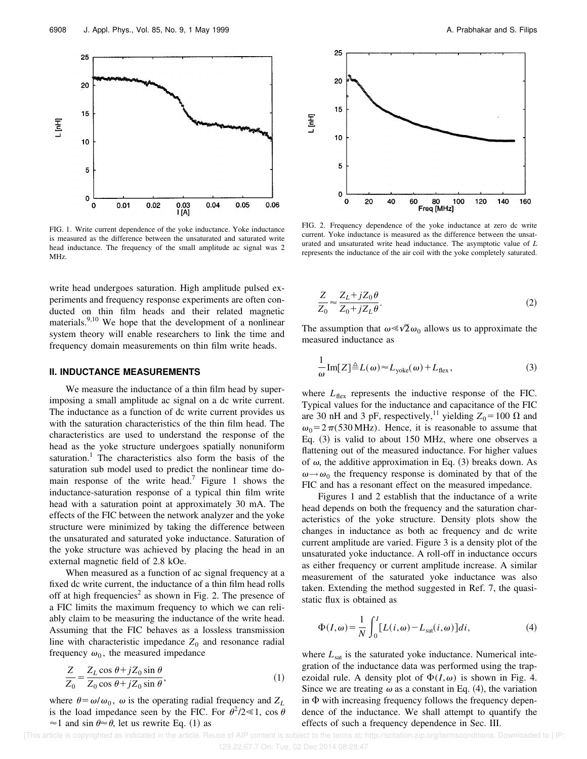

FIG. 1. Write current dependence of the yoke inductance. Yoke inductance is measured as the difference between the unsaturated and saturated write head inductance. The frequency of the small amplitude ac signal was 2 MHz.

write head undergoes saturation. High amplitude pulsed experiments and frequency response experiments are often conducted on thin film heads and their related magnetic materials. $9,10$  We hope that the development of a nonlinear system theory will enable researchers to link the time and frequency domain measurements on thin film write heads.

#### **II. INDUCTANCE MEASUREMENTS**

We measure the inductance of a thin film head by superimposing a small amplitude ac signal on a dc write current. The inductance as a function of dc write current provides us with the saturation characteristics of the thin film head. The characteristics are used to understand the response of the head as the yoke structure undergoes spatially nonuniform saturation.<sup>1</sup> The characteristics also form the basis of the saturation sub model used to predict the nonlinear time domain response of the write head.<sup>7</sup> Figure 1 shows the inductance-saturation response of a typical thin film write head with a saturation point at approximately 30 mA. The effects of the FIC between the network analyzer and the yoke structure were minimized by taking the difference between the unsaturated and saturated yoke inductance. Saturation of the yoke structure was achieved by placing the head in an external magnetic field of 2.8 kOe.

When measured as a function of ac signal frequency at a fixed dc write current, the inductance of a thin film head rolls off at high frequencies<sup>2</sup> as shown in Fig. 2. The presence of a FIC limits the maximum frequency to which we can reliably claim to be measuring the inductance of the write head. Assuming that the FIC behaves as a lossless transmission line with characteristic impedance  $Z_0$  and resonance radial frequency  $\omega_0$ , the measured impedance

$$
\frac{Z}{Z_0} = \frac{Z_L \cos \theta + jZ_0 \sin \theta}{Z_0 \cos \theta + jZ_0 \sin \theta},
$$
\n(1)

where  $\theta = \omega/\omega_0$ ,  $\omega$  is the operating radial frequency and  $Z_L$ is the load impedance seen by the FIC. For  $\theta^2/2 \ll 1$ , cos  $\theta$  $\approx$ 1 and sin  $\theta \approx \theta$ , let us rewrite Eq. (1) as



FIG. 2. Frequency dependence of the yoke inductance at zero dc write current. Yoke inductance is measured as the difference between the unsaturated and unsaturated write head inductance. The asymptotic value of *L* represents the inductance of the air coil with the yoke completely saturated.

$$
\frac{Z}{Z_0} \approx \frac{Z_L + jZ_0 \theta}{Z_0 + jZ_L \theta}.
$$
\n(2)

The assumption that  $\omega \ll \sqrt{2}\omega_0$  allows us to approximate the measured inductance as

$$
\frac{1}{\omega} \text{Im}[Z] \triangleq L(\omega) \approx L_{\text{yoke}}(\omega) + L_{\text{flex}},\tag{3}
$$

where  $L_{\text{flex}}$  represents the inductive response of the FIC. Typical values for the inductance and capacitance of the FIC are 30 nH and 3 pF, respectively,<sup>11</sup> yielding  $Z_0 = 100 \Omega$  and  $\omega_0$ = 2 $\pi$ (530 MHz). Hence, it is reasonable to assume that Eq.  $(3)$  is valid to about 150 MHz, where one observes a flattening out of the measured inductance. For higher values of  $\omega$ , the additive approximation in Eq. (3) breaks down. As  $\omega \rightarrow \omega_0$  the frequency response is dominated by that of the FIC and has a resonant effect on the measured impedance.

Figures 1 and 2 establish that the inductance of a write head depends on both the frequency and the saturation characteristics of the yoke structure. Density plots show the changes in inductance as both ac frequency and dc write current amplitude are varied. Figure 3 is a density plot of the unsaturated yoke inductance. A roll-off in inductance occurs as either frequency or current amplitude increase. A similar measurement of the saturated yoke inductance was also taken. Extending the method suggested in Ref. 7, the quasistatic flux is obtained as

$$
\Phi(I,\omega) = \frac{1}{N} \int_0^I [L(i,\omega) - L_{sat}(i,\omega)]di,
$$
\n(4)

where  $L_{\text{sat}}$  is the saturated yoke inductance. Numerical integration of the inductance data was performed using the trapezoidal rule. A density plot of  $\Phi(I,\omega)$  is shown in Fig. 4. Since we are treating  $\omega$  as a constant in Eq. (4), the variation in  $\Phi$  with increasing frequency follows the frequency dependence of the inductance. We shall attempt to quantify the effects of such a frequency dependence in Sec. III.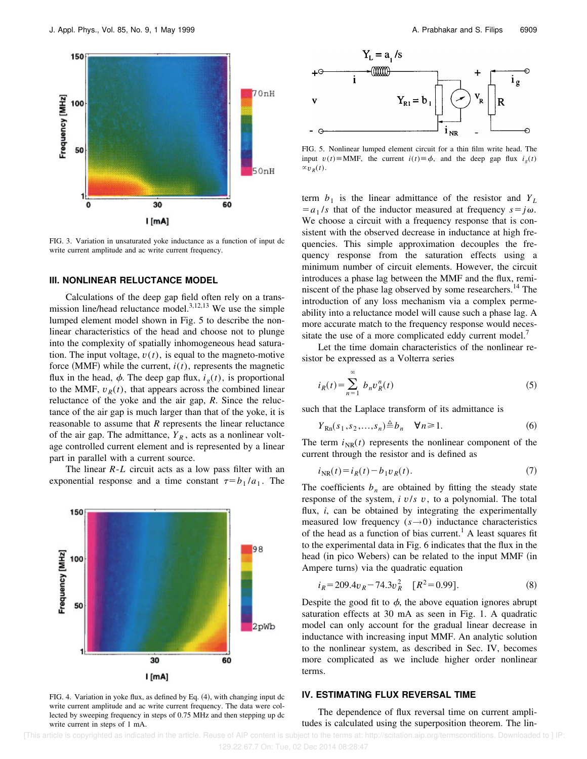

FIG. 3. Variation in unsaturated yoke inductance as a function of input dc write current amplitude and ac write current frequency.

#### **III. NONLINEAR RELUCTANCE MODEL**

Calculations of the deep gap field often rely on a transmission line/head reluctance model. $^{3,12,13}$  We use the simple lumped element model shown in Fig. 5 to describe the nonlinear characteristics of the head and choose not to plunge into the complexity of spatially inhomogeneous head saturation. The input voltage,  $v(t)$ , is equal to the magneto-motive force  $(MMF)$  while the current,  $i(t)$ , represents the magnetic flux in the head,  $\phi$ . The deep gap flux,  $i_g(t)$ , is proportional to the MMF,  $v_R(t)$ , that appears across the combined linear reluctance of the yoke and the air gap, *R*. Since the reluctance of the air gap is much larger than that of the yoke, it is reasonable to assume that *R* represents the linear reluctance of the air gap. The admittance,  $Y_R$ , acts as a nonlinear voltage controlled current element and is represented by a linear part in parallel with a current source.

The linear *R*-*L* circuit acts as a low pass filter with an exponential response and a time constant  $\tau = b_1/a_1$ . The



FIG. 4. Variation in yoke flux, as defined by Eq.  $(4)$ , with changing input dc write current amplitude and ac write current frequency. The data were collected by sweeping frequency in steps of 0.75 MHz and then stepping up dc write current in steps of 1 mA.



FIG. 5. Nonlinear lumped element circuit for a thin film write head. The input  $v(t) \equiv \text{MMF}$ , the current  $i(t) \equiv \phi$ , and the deep gap flux  $i_g(t)$  $\propto v_R(t)$ .

term  $b_1$  is the linear admittance of the resistor and  $Y_L$  $= a_1/s$  that of the inductor measured at frequency  $s = j\omega$ . We choose a circuit with a frequency response that is consistent with the observed decrease in inductance at high frequencies. This simple approximation decouples the frequency response from the saturation effects using a minimum number of circuit elements. However, the circuit introduces a phase lag between the MMF and the flux, reminiscent of the phase lag observed by some researchers.<sup>14</sup> The introduction of any loss mechanism via a complex permeability into a reluctance model will cause such a phase lag. A more accurate match to the frequency response would necessitate the use of a more complicated eddy current model.<sup>7</sup>

Let the time domain characteristics of the nonlinear resistor be expressed as a Volterra series

$$
i_R(t) = \sum_{n=1}^{\infty} b_n v_R^n(t)
$$
 (5)

such that the Laplace transform of its admittance is

$$
Y_{\text{Rn}}(s_1, s_2, \dots, s_n) \triangleq b_n \quad \forall n \ge 1. \tag{6}
$$

The term  $i_{NR}(t)$  represents the nonlinear component of the current through the resistor and is defined as

$$
i_{\text{NR}}(t) = i_R(t) - b_1 v_R(t). \tag{7}
$$

The coefficients  $b_n$  are obtained by fitting the steady state response of the system, *i v*/*s v*, to a polynomial. The total flux, *i*, can be obtained by integrating the experimentally measured low frequency  $(s \rightarrow 0)$  inductance characteristics of the head as a function of bias current.<sup>1</sup> A least squares fit to the experimental data in Fig. 6 indicates that the flux in the head (in pico Webers) can be related to the input MMF (in Ampere turns) via the quadratic equation

$$
i_R = 209.4 v_R - 74.3 v_R^2 \quad [R^2 = 0.99]. \tag{8}
$$

Despite the good fit to  $\phi$ , the above equation ignores abrupt saturation effects at 30 mA as seen in Fig. 1. A quadratic model can only account for the gradual linear decrease in inductance with increasing input MMF. An analytic solution to the nonlinear system, as described in Sec. IV, becomes more complicated as we include higher order nonlinear terms.

#### **IV. ESTIMATING FLUX REVERSAL TIME**

The dependence of flux reversal time on current amplitudes is calculated using the superposition theorem. The lin-

 [This article is copyrighted as indicated in the article. Reuse of AIP content is subject to the terms at: http://scitation.aip.org/termsconditions. Downloaded to ] IP: 129.22.67.7 On: Tue, 02 Dec 2014 08:28:47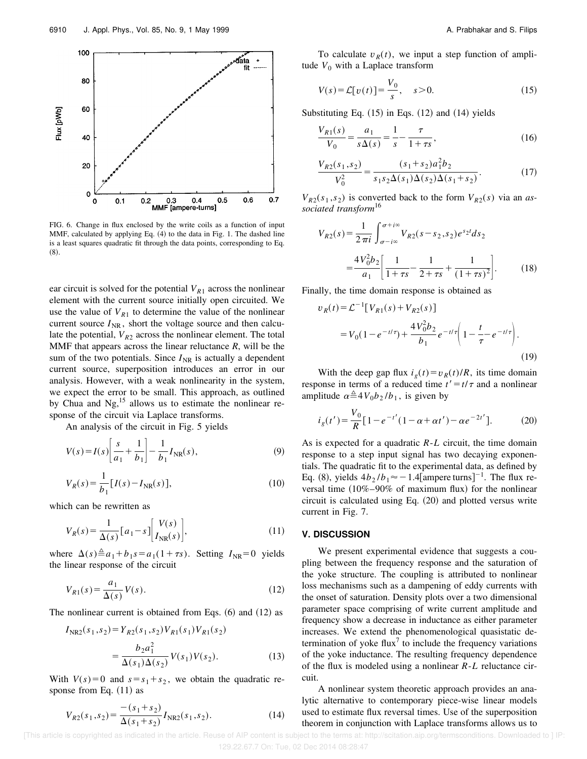

FIG. 6. Change in flux enclosed by the write coils as a function of input MMF, calculated by applying Eq.  $(4)$  to the data in Fig. 1. The dashed line is a least squares quadratic fit through the data points, corresponding to Eq.  $(8)$ .

ear circuit is solved for the potential  $V_{R1}$  across the nonlinear element with the current source initially open circuited. We use the value of  $V_{R1}$  to determine the value of the nonlinear current source  $I_{NR}$ , short the voltage source and then calculate the potential,  $V_{R2}$  across the nonlinear element. The total MMF that appears across the linear reluctance *R*, will be the sum of the two potentials. Since  $I_{NR}$  is actually a dependent current source, superposition introduces an error in our analysis. However, with a weak nonlinearity in the system, we expect the error to be small. This approach, as outlined by Chua and  $Ng<sub>15</sub>$ , allows us to estimate the nonlinear response of the circuit via Laplace transforms.

An analysis of the circuit in Fig. 5 yields

$$
V(s) = I(s) \left[ \frac{s}{a_1} + \frac{1}{b_1} \right] - \frac{1}{b_1} I_{NR}(s),
$$
 (9)

$$
V_R(s) = \frac{1}{b_1} [I(s) - I_{NR}(s)],
$$
\n(10)

which can be rewritten as

$$
V_R(s) = \frac{1}{\Delta(s)} \left[ a_1 - s \right] \begin{bmatrix} V(s) \\ I_{\text{NR}}(s) \end{bmatrix},\tag{11}
$$

where  $\Delta(s) \triangleq a_1 + b_1 s = a_1 (1 + \tau s)$ . Setting  $I_{NR} = 0$  yields the linear response of the circuit

$$
V_{R1}(s) = \frac{a_1}{\Delta(s)} V(s).
$$
 (12)

The nonlinear current is obtained from Eqs.  $(6)$  and  $(12)$  as

$$
I_{NR2}(s_1, s_2) = Y_{R2}(s_1, s_2) V_{R1}(s_1) V_{R1}(s_2)
$$
  
= 
$$
\frac{b_2 a_1^2}{\Delta(s_1) \Delta(s_2)} V(s_1) V(s_2).
$$
 (13)

With  $V(s) = 0$  and  $s = s_1 + s_2$ , we obtain the quadratic response from Eq.  $(11)$  as

$$
V_{R2}(s_1, s_2) = \frac{-(s_1 + s_2)}{\Delta(s_1 + s_2)} I_{NR2}(s_1, s_2).
$$
 (14)

To calculate  $v_R(t)$ , we input a step function of amplitude  $V_0$  with a Laplace transform

$$
V(s) = \mathcal{L}[v(t)] = \frac{V_0}{s}, \quad s > 0.
$$
 (15)

Substituting Eq.  $(15)$  in Eqs.  $(12)$  and  $(14)$  yields

$$
\frac{V_{R1}(s)}{V_0} = \frac{a_1}{s\Delta(s)} = \frac{1}{s} - \frac{\tau}{1 + \tau s},\tag{16}
$$

$$
\frac{V_{R2}(s_1, s_2)}{V_0^2} = \frac{(s_1 + s_2)a_1^2 b_2}{s_1 s_2 \Delta(s_1) \Delta(s_2) \Delta(s_1 + s_2)}.
$$
(17)

 $V_{R2}(s_1, s_2)$  is converted back to the form  $V_{R2}(s)$  via an *associated transform*<sup>16</sup>

$$
V_{R2}(s) = \frac{1}{2\pi i} \int_{\sigma - i\infty}^{\sigma + i\infty} V_{R2}(s - s_2, s_2) e^{s_2 t} ds_2
$$
  
= 
$$
\frac{4V_0^2 b_2}{a_1} \left[ \frac{1}{1 + \tau s} - \frac{1}{2 + \tau s} + \frac{1}{(1 + \tau s)^2} \right].
$$
 (18)

Finally, the time domain response is obtained as

$$
v_R(t) = \mathcal{L}^{-1} [V_{R1}(s) + V_{R2}(s)]
$$
  
=  $V_0 (1 - e^{-t/\tau}) + \frac{4V_0^2 b_2}{b_1} e^{-t/\tau} \left(1 - \frac{t}{\tau} - e^{-t/\tau}\right).$  (19)

With the deep gap flux  $i_g(t) = v_R(t)/R$ , its time domain response in terms of a reduced time  $t' = t/\tau$  and a nonlinear amplitude  $\alpha \triangleq 4V_0b_2/b_1$ , is given by

$$
i_g(t') = \frac{V_0}{R} [1 - e^{-t'} (1 - \alpha + \alpha t') - \alpha e^{-2t'}].
$$
 (20)

As is expected for a quadratic *R*-*L* circuit, the time domain response to a step input signal has two decaying exponentials. The quadratic fit to the experimental data, as defined by Eq. (8), yields  $4b_2/b_1 \approx -1.4$ [ampere turns]<sup>-1</sup>. The flux reversal time  $(10\% - 90\%$  of maximum flux) for the nonlinear circuit is calculated using Eq.  $(20)$  and plotted versus write current in Fig. 7.

#### **V. DISCUSSION**

We present experimental evidence that suggests a coupling between the frequency response and the saturation of the yoke structure. The coupling is attributed to nonlinear loss mechanisms such as a dampening of eddy currents with the onset of saturation. Density plots over a two dimensional parameter space comprising of write current amplitude and frequency show a decrease in inductance as either parameter increases. We extend the phenomenological quasistatic determination of yoke flux<sup>7</sup> to include the frequency variations of the yoke inductance. The resulting frequency dependence of the flux is modeled using a nonlinear *R*-*L* reluctance circuit.

A nonlinear system theoretic approach provides an analytic alternative to contemporary piece-wise linear models used to estimate flux reversal times. Use of the superposition theorem in conjunction with Laplace transforms allows us to

 [This article is copyrighted as indicated in the article. Reuse of AIP content is subject to the terms at: http://scitation.aip.org/termsconditions. Downloaded to ] IP: 129.22.67.7 On: Tue, 02 Dec 2014 08:28:47